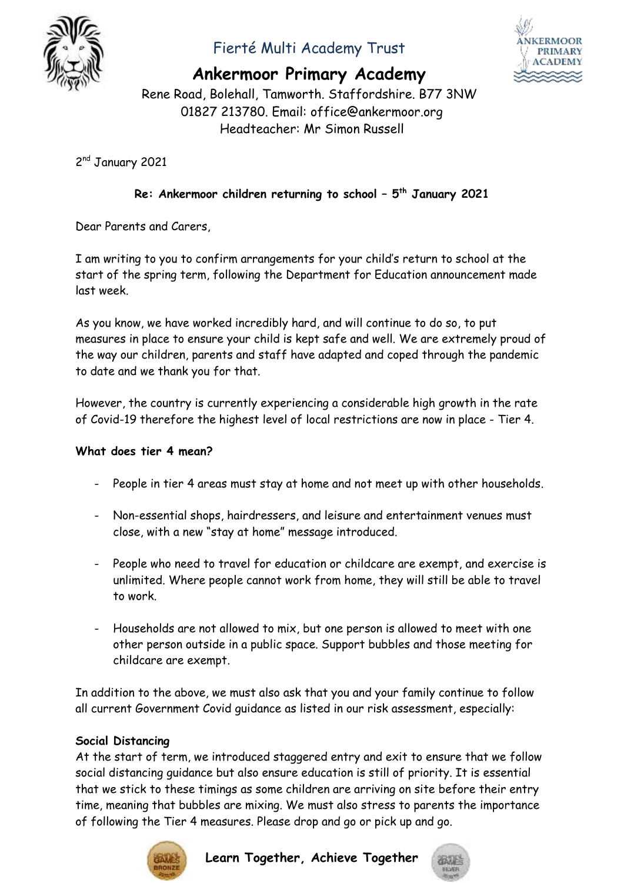

## Fierté Multi Academy Trust



### **Ankermoor Primary Academy**

Rene Road, Bolehall, Tamworth. Staffordshire. B77 3NW 01827 213780. Email: office@ankermoor.org Headteacher: Mr Simon Russell

2<sup>nd</sup> January 2021

### **Re: Ankermoor children returning to school – 5 th January 2021**

Dear Parents and Carers,

I am writing to you to confirm arrangements for your child's return to school at the start of the spring term, following the Department for Education announcement made last week.

As you know, we have worked incredibly hard, and will continue to do so, to put measures in place to ensure your child is kept safe and well. We are extremely proud of the way our children, parents and staff have adapted and coped through the pandemic to date and we thank you for that.

However, the country is currently experiencing a considerable high growth in the rate of Covid-19 therefore the highest level of local restrictions are now in place - Tier 4.

#### **What does tier 4 mean?**

- People in tier 4 areas must stay at home and not meet up with other households.
- Non-essential shops, hairdressers, and leisure and entertainment venues must close, with a new "stay at home" message introduced.
- People who need to travel for education or childcare are exempt, and exercise is unlimited. Where people cannot work from home, they will still be able to travel to work.
- Households are not allowed to mix, but one person is allowed to meet with one other person outside in a public space. Support bubbles and those meeting for childcare are exempt.

In addition to the above, we must also ask that you and your family continue to follow all current Government Covid guidance as listed in our risk assessment, especially:

#### **Social Distancing**

At the start of term, we introduced staggered entry and exit to ensure that we follow social distancing guidance but also ensure education is still of priority. It is essential that we stick to these timings as some children are arriving on site before their entry time, meaning that bubbles are mixing. We must also stress to parents the importance of following the Tier 4 measures. Please drop and go or pick up and go.



**Learn Together, Achieve Together**